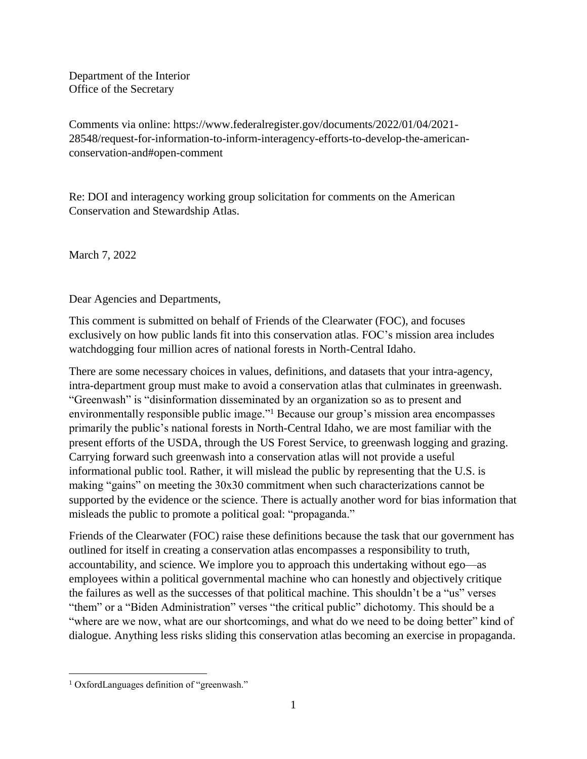Department of the Interior Office of the Secretary

Comments via online: https://www.federalregister.gov/documents/2022/01/04/2021- 28548/request-for-information-to-inform-interagency-efforts-to-develop-the-americanconservation-and#open-comment

Re: DOI and interagency working group solicitation for comments on the American Conservation and Stewardship Atlas.

March 7, 2022

Dear Agencies and Departments,

This comment is submitted on behalf of Friends of the Clearwater (FOC), and focuses exclusively on how public lands fit into this conservation atlas. FOC's mission area includes watchdogging four million acres of national forests in North-Central Idaho.

There are some necessary choices in values, definitions, and datasets that your intra-agency, intra-department group must make to avoid a conservation atlas that culminates in greenwash. "Greenwash" is "disinformation disseminated by an organization so as to present and environmentally responsible public image."<sup>1</sup> Because our group's mission area encompasses primarily the public's national forests in North-Central Idaho, we are most familiar with the present efforts of the USDA, through the US Forest Service, to greenwash logging and grazing. Carrying forward such greenwash into a conservation atlas will not provide a useful informational public tool. Rather, it will mislead the public by representing that the U.S. is making "gains" on meeting the 30x30 commitment when such characterizations cannot be supported by the evidence or the science. There is actually another word for bias information that misleads the public to promote a political goal: "propaganda."

Friends of the Clearwater (FOC) raise these definitions because the task that our government has outlined for itself in creating a conservation atlas encompasses a responsibility to truth, accountability, and science. We implore you to approach this undertaking without ego—as employees within a political governmental machine who can honestly and objectively critique the failures as well as the successes of that political machine. This shouldn't be a "us" verses "them" or a "Biden Administration" verses "the critical public" dichotomy. This should be a "where are we now, what are our shortcomings, and what do we need to be doing better" kind of dialogue. Anything less risks sliding this conservation atlas becoming an exercise in propaganda.

 $\overline{a}$ <sup>1</sup> OxfordLanguages definition of "greenwash."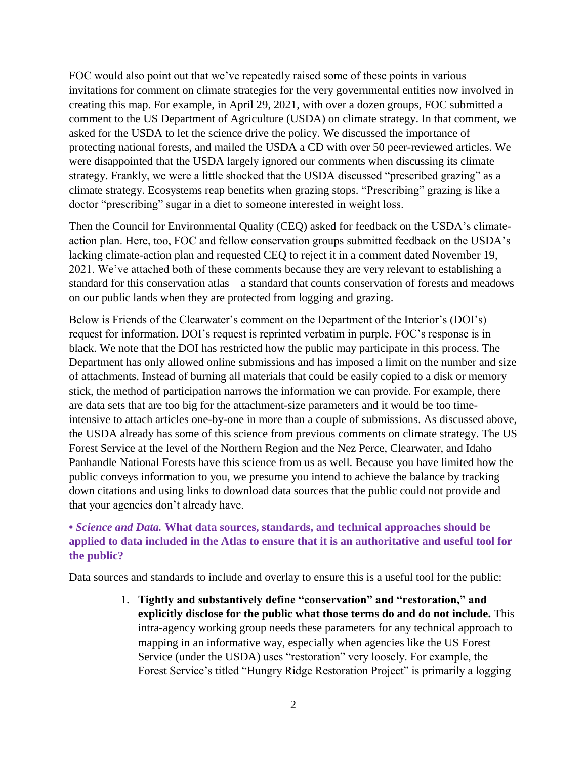FOC would also point out that we've repeatedly raised some of these points in various invitations for comment on climate strategies for the very governmental entities now involved in creating this map. For example, in April 29, 2021, with over a dozen groups, FOC submitted a comment to the US Department of Agriculture (USDA) on climate strategy. In that comment, we asked for the USDA to let the science drive the policy. We discussed the importance of protecting national forests, and mailed the USDA a CD with over 50 peer-reviewed articles. We were disappointed that the USDA largely ignored our comments when discussing its climate strategy. Frankly, we were a little shocked that the USDA discussed "prescribed grazing" as a climate strategy. Ecosystems reap benefits when grazing stops. "Prescribing" grazing is like a doctor "prescribing" sugar in a diet to someone interested in weight loss.

Then the Council for Environmental Quality (CEQ) asked for feedback on the USDA's climateaction plan. Here, too, FOC and fellow conservation groups submitted feedback on the USDA's lacking climate-action plan and requested CEQ to reject it in a comment dated November 19, 2021. We've attached both of these comments because they are very relevant to establishing a standard for this conservation atlas—a standard that counts conservation of forests and meadows on our public lands when they are protected from logging and grazing.

Below is Friends of the Clearwater's comment on the Department of the Interior's (DOI's) request for information. DOI's request is reprinted verbatim in purple. FOC's response is in black. We note that the DOI has restricted how the public may participate in this process. The Department has only allowed online submissions and has imposed a limit on the number and size of attachments. Instead of burning all materials that could be easily copied to a disk or memory stick, the method of participation narrows the information we can provide. For example, there are data sets that are too big for the attachment-size parameters and it would be too timeintensive to attach articles one-by-one in more than a couple of submissions. As discussed above, the USDA already has some of this science from previous comments on climate strategy. The US Forest Service at the level of the Northern Region and the Nez Perce, Clearwater, and Idaho Panhandle National Forests have this science from us as well. Because you have limited how the public conveys information to you, we presume you intend to achieve the balance by tracking down citations and using links to download data sources that the public could not provide and that your agencies don't already have.

## **•** *Science and Data.* **What data sources, standards, and technical approaches should be applied to data included in the Atlas to ensure that it is an authoritative and useful tool for the public?**

Data sources and standards to include and overlay to ensure this is a useful tool for the public:

1. **Tightly and substantively define "conservation" and "restoration," and explicitly disclose for the public what those terms do and do not include.** This intra-agency working group needs these parameters for any technical approach to mapping in an informative way, especially when agencies like the US Forest Service (under the USDA) uses "restoration" very loosely. For example, the Forest Service's titled "Hungry Ridge Restoration Project" is primarily a logging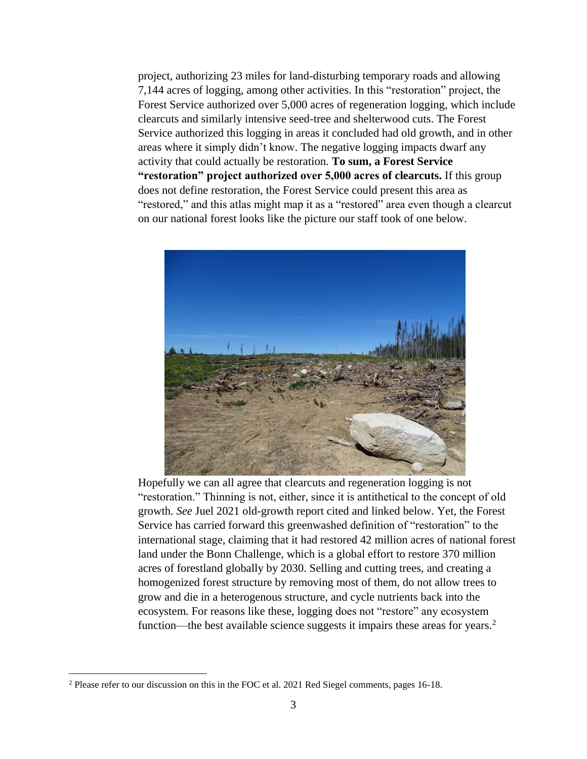project, authorizing 23 miles for land-disturbing temporary roads and allowing 7,144 acres of logging, among other activities. In this "restoration" project, the Forest Service authorized over 5,000 acres of regeneration logging, which include clearcuts and similarly intensive seed-tree and shelterwood cuts. The Forest Service authorized this logging in areas it concluded had old growth, and in other areas where it simply didn't know. The negative logging impacts dwarf any activity that could actually be restoration. **To sum, a Forest Service "restoration" project authorized over 5,000 acres of clearcuts.** If this group does not define restoration, the Forest Service could present this area as "restored," and this atlas might map it as a "restored" area even though a clearcut on our national forest looks like the picture our staff took of one below.



Hopefully we can all agree that clearcuts and regeneration logging is not "restoration." Thinning is not, either, since it is antithetical to the concept of old growth. *See* Juel 2021 old-growth report cited and linked below. Yet, the Forest Service has carried forward this greenwashed definition of "restoration" to the international stage, claiming that it had restored 42 million acres of national forest land under the Bonn Challenge, which is a global effort to restore 370 million acres of forestland globally by 2030. Selling and cutting trees, and creating a homogenized forest structure by removing most of them, do not allow trees to grow and die in a heterogenous structure, and cycle nutrients back into the ecosystem. For reasons like these, logging does not "restore" any ecosystem function—the best available science suggests it impairs these areas for years.<sup>2</sup>

 $\overline{a}$ 

<sup>2</sup> Please refer to our discussion on this in the FOC et al. 2021 Red Siegel comments, pages 16-18.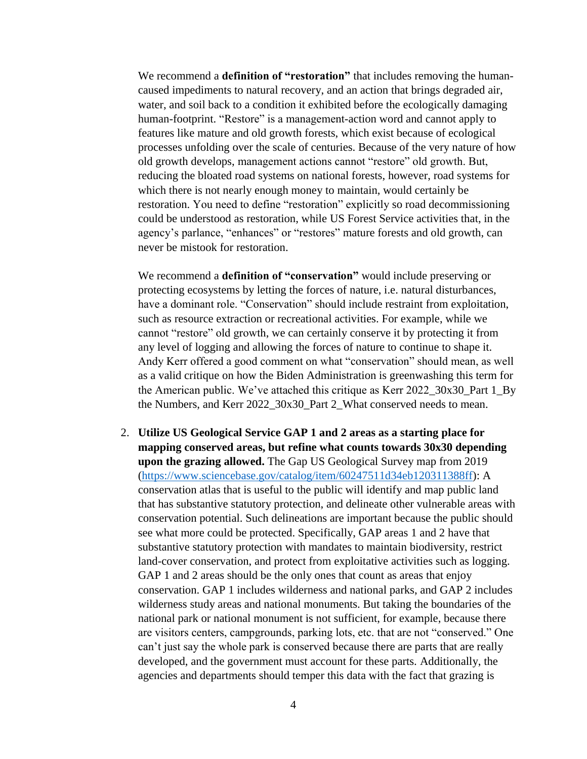We recommend a **definition of "restoration"** that includes removing the humancaused impediments to natural recovery, and an action that brings degraded air, water, and soil back to a condition it exhibited before the ecologically damaging human-footprint. "Restore" is a management-action word and cannot apply to features like mature and old growth forests, which exist because of ecological processes unfolding over the scale of centuries. Because of the very nature of how old growth develops, management actions cannot "restore" old growth. But, reducing the bloated road systems on national forests, however, road systems for which there is not nearly enough money to maintain, would certainly be restoration. You need to define "restoration" explicitly so road decommissioning could be understood as restoration, while US Forest Service activities that, in the agency's parlance, "enhances" or "restores" mature forests and old growth, can never be mistook for restoration.

We recommend a **definition of "conservation"** would include preserving or protecting ecosystems by letting the forces of nature, i.e. natural disturbances, have a dominant role. "Conservation" should include restraint from exploitation, such as resource extraction or recreational activities. For example, while we cannot "restore" old growth, we can certainly conserve it by protecting it from any level of logging and allowing the forces of nature to continue to shape it. Andy Kerr offered a good comment on what "conservation" should mean, as well as a valid critique on how the Biden Administration is greenwashing this term for the American public. We've attached this critique as Kerr 2022\_30x30\_Part 1\_By the Numbers, and Kerr 2022\_30x30\_Part 2\_What conserved needs to mean.

2. **Utilize US Geological Service GAP 1 and 2 areas as a starting place for mapping conserved areas, but refine what counts towards 30x30 depending upon the grazing allowed.** The Gap US Geological Survey map from 2019 [\(https://www.sciencebase.gov/catalog/item/60247511d34eb120311388ff\)](https://www.sciencebase.gov/catalog/item/60247511d34eb120311388ff): A conservation atlas that is useful to the public will identify and map public land that has substantive statutory protection, and delineate other vulnerable areas with conservation potential. Such delineations are important because the public should see what more could be protected. Specifically, GAP areas 1 and 2 have that substantive statutory protection with mandates to maintain biodiversity, restrict land-cover conservation, and protect from exploitative activities such as logging. GAP 1 and 2 areas should be the only ones that count as areas that enjoy conservation. GAP 1 includes wilderness and national parks, and GAP 2 includes wilderness study areas and national monuments. But taking the boundaries of the national park or national monument is not sufficient, for example, because there are visitors centers, campgrounds, parking lots, etc. that are not "conserved." One can't just say the whole park is conserved because there are parts that are really developed, and the government must account for these parts. Additionally, the agencies and departments should temper this data with the fact that grazing is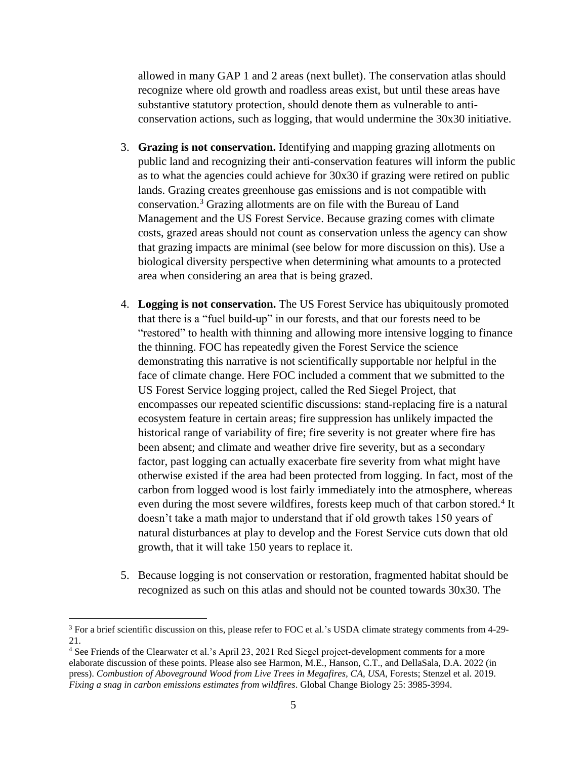allowed in many GAP 1 and 2 areas (next bullet). The conservation atlas should recognize where old growth and roadless areas exist, but until these areas have substantive statutory protection, should denote them as vulnerable to anticonservation actions, such as logging, that would undermine the 30x30 initiative.

- 3. **Grazing is not conservation.** Identifying and mapping grazing allotments on public land and recognizing their anti-conservation features will inform the public as to what the agencies could achieve for 30x30 if grazing were retired on public lands. Grazing creates greenhouse gas emissions and is not compatible with conservation. <sup>3</sup> Grazing allotments are on file with the Bureau of Land Management and the US Forest Service. Because grazing comes with climate costs, grazed areas should not count as conservation unless the agency can show that grazing impacts are minimal (see below for more discussion on this). Use a biological diversity perspective when determining what amounts to a protected area when considering an area that is being grazed.
- 4. **Logging is not conservation.** The US Forest Service has ubiquitously promoted that there is a "fuel build-up" in our forests, and that our forests need to be "restored" to health with thinning and allowing more intensive logging to finance the thinning. FOC has repeatedly given the Forest Service the science demonstrating this narrative is not scientifically supportable nor helpful in the face of climate change. Here FOC included a comment that we submitted to the US Forest Service logging project, called the Red Siegel Project, that encompasses our repeated scientific discussions: stand-replacing fire is a natural ecosystem feature in certain areas; fire suppression has unlikely impacted the historical range of variability of fire; fire severity is not greater where fire has been absent; and climate and weather drive fire severity, but as a secondary factor, past logging can actually exacerbate fire severity from what might have otherwise existed if the area had been protected from logging. In fact, most of the carbon from logged wood is lost fairly immediately into the atmosphere, whereas even during the most severe wildfires, forests keep much of that carbon stored.<sup>4</sup> It doesn't take a math major to understand that if old growth takes 150 years of natural disturbances at play to develop and the Forest Service cuts down that old growth, that it will take 150 years to replace it.
- 5. Because logging is not conservation or restoration, fragmented habitat should be recognized as such on this atlas and should not be counted towards 30x30. The

 $\overline{a}$ 

<sup>3</sup> For a brief scientific discussion on this, please refer to FOC et al.'s USDA climate strategy comments from 4-29- 21.

<sup>4</sup> See Friends of the Clearwater et al.'s April 23, 2021 Red Siegel project-development comments for a more elaborate discussion of these points. Please also see Harmon, M.E., Hanson, C.T., and DellaSala, D.A. 2022 (in press). *Combustion of Aboveground Wood from Live Trees in Megafires, CA, USA*, Forests; Stenzel et al. 2019. *Fixing a snag in carbon emissions estimates from wildfires*. Global Change Biology 25: 3985-3994.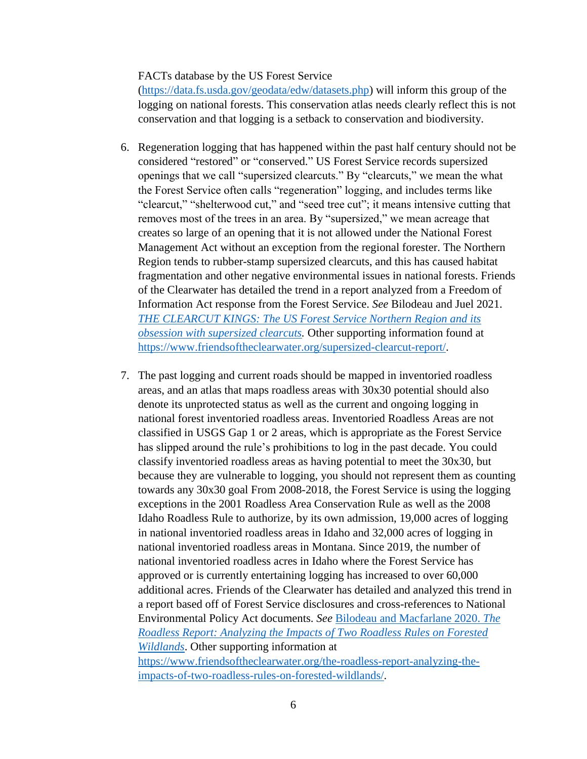## FACTs database by the US Forest Service

[\(https://data.fs.usda.gov/geodata/edw/datasets.php\)](https://data.fs.usda.gov/geodata/edw/datasets.php) will inform this group of the logging on national forests. This conservation atlas needs clearly reflect this is not conservation and that logging is a setback to conservation and biodiversity.

- 6. Regeneration logging that has happened within the past half century should not be considered "restored" or "conserved." US Forest Service records supersized openings that we call "supersized clearcuts." By "clearcuts," we mean the what the Forest Service often calls "regeneration" logging, and includes terms like "clearcut," "shelterwood cut," and "seed tree cut"; it means intensive cutting that removes most of the trees in an area. By "supersized," we mean acreage that creates so large of an opening that it is not allowed under the National Forest Management Act without an exception from the regional forester. The Northern Region tends to rubber-stamp supersized clearcuts, and this has caused habitat fragmentation and other negative environmental issues in national forests. Friends of the Clearwater has detailed the trend in a report analyzed from a Freedom of Information Act response from the Forest Service. *See* Bilodeau and Juel 2021. *[THE CLEARCUT KINGS: The US Forest Service Northern Region and its](https://www.friendsoftheclearwater.org/wp-content/uploads/2021/08/The-Clearcut-Kings_USFS-Northern-Region-and-Obsession-w-Supersized-Clearcuts-2021.pdf)  [obsession with supersized clearcuts.](https://www.friendsoftheclearwater.org/wp-content/uploads/2021/08/The-Clearcut-Kings_USFS-Northern-Region-and-Obsession-w-Supersized-Clearcuts-2021.pdf)* Other supporting information found at [https://www.friendsoftheclearwater.org/supersized-clearcut-report/.](https://www.friendsoftheclearwater.org/supersized-clearcut-report/)
- 7. The past logging and current roads should be mapped in inventoried roadless areas, and an atlas that maps roadless areas with 30x30 potential should also denote its unprotected status as well as the current and ongoing logging in national forest inventoried roadless areas. Inventoried Roadless Areas are not classified in USGS Gap 1 or 2 areas, which is appropriate as the Forest Service has slipped around the rule's prohibitions to log in the past decade. You could classify inventoried roadless areas as having potential to meet the 30x30, but because they are vulnerable to logging, you should not represent them as counting towards any 30x30 goal From 2008-2018, the Forest Service is using the logging exceptions in the 2001 Roadless Area Conservation Rule as well as the 2008 Idaho Roadless Rule to authorize, by its own admission, 19,000 acres of logging in national inventoried roadless areas in Idaho and 32,000 acres of logging in national inventoried roadless areas in Montana. Since 2019, the number of national inventoried roadless acres in Idaho where the Forest Service has approved or is currently entertaining logging has increased to over 60,000 additional acres. Friends of the Clearwater has detailed and analyzed this trend in a report based off of Forest Service disclosures and cross-references to National Environmental Policy Act documents. *See* [Bilodeau and Macfarlane 2020.](https://www.friendsoftheclearwater.org/wp-content/uploads/2020/09/Bilodeau-Macfarline-THE-ROADLESS-REPORT-FINAL-with-addendum-update-Sept.-2020.pdf) *The [Roadless Report: Analyzing the Impacts of Two Roadless Rules on Forested](https://www.friendsoftheclearwater.org/wp-content/uploads/2020/09/Bilodeau-Macfarline-THE-ROADLESS-REPORT-FINAL-with-addendum-update-Sept.-2020.pdf)  [Wildlands](https://www.friendsoftheclearwater.org/wp-content/uploads/2020/09/Bilodeau-Macfarline-THE-ROADLESS-REPORT-FINAL-with-addendum-update-Sept.-2020.pdf)*. Other supporting information at [https://www.friendsoftheclearwater.org/the-roadless-report-analyzing-the](https://www.friendsoftheclearwater.org/the-roadless-report-analyzing-the-impacts-of-two-roadless-rules-on-forested-wildlands/)[impacts-of-two-roadless-rules-on-forested-wildlands/.](https://www.friendsoftheclearwater.org/the-roadless-report-analyzing-the-impacts-of-two-roadless-rules-on-forested-wildlands/)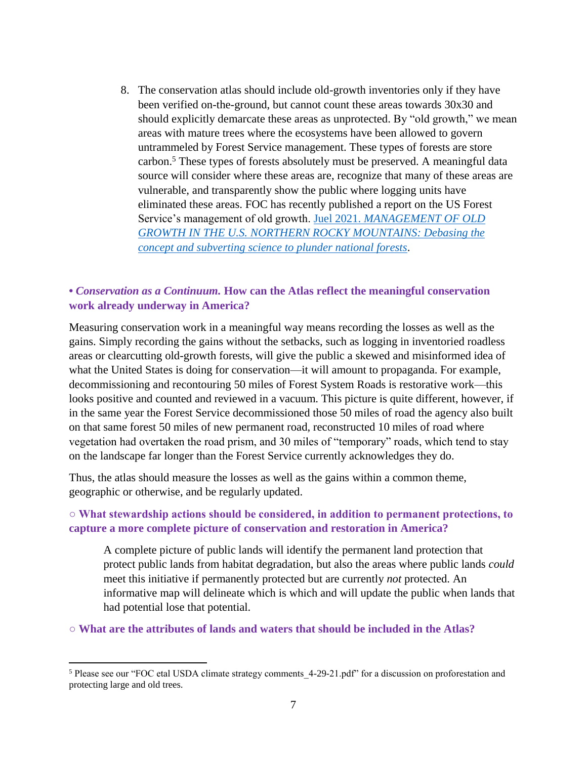8. The conservation atlas should include old-growth inventories only if they have been verified on-the-ground, but cannot count these areas towards 30x30 and should explicitly demarcate these areas as unprotected. By "old growth," we mean areas with mature trees where the ecosystems have been allowed to govern untrammeled by Forest Service management. These types of forests are store carbon. <sup>5</sup> These types of forests absolutely must be preserved. A meaningful data source will consider where these areas are, recognize that many of these areas are vulnerable, and transparently show the public where logging units have eliminated these areas. FOC has recently published a report on the US Forest Service's management of old growth. Juel 2021. *[MANAGEMENT OF OLD](https://www.friendsoftheclearwater.org/wp-content/uploads/2021/11/Juel_2021-Old-Growth.pdf)  [GROWTH IN THE U.S. NORTHERN ROCKY MOUNTAINS: Debasing the](https://www.friendsoftheclearwater.org/wp-content/uploads/2021/11/Juel_2021-Old-Growth.pdf)  [concept and subverting science to plunder national forests](https://www.friendsoftheclearwater.org/wp-content/uploads/2021/11/Juel_2021-Old-Growth.pdf)*.

## **•** *Conservation as a Continuum.* **How can the Atlas reflect the meaningful conservation work already underway in America?**

Measuring conservation work in a meaningful way means recording the losses as well as the gains. Simply recording the gains without the setbacks, such as logging in inventoried roadless areas or clearcutting old-growth forests, will give the public a skewed and misinformed idea of what the United States is doing for conservation—it will amount to propaganda. For example, decommissioning and recontouring 50 miles of Forest System Roads is restorative work—this looks positive and counted and reviewed in a vacuum. This picture is quite different, however, if in the same year the Forest Service decommissioned those 50 miles of road the agency also built on that same forest 50 miles of new permanent road, reconstructed 10 miles of road where vegetation had overtaken the road prism, and 30 miles of "temporary" roads, which tend to stay on the landscape far longer than the Forest Service currently acknowledges they do.

Thus, the atlas should measure the losses as well as the gains within a common theme, geographic or otherwise, and be regularly updated.

## **○ What stewardship actions should be considered, in addition to permanent protections, to capture a more complete picture of conservation and restoration in America?**

A complete picture of public lands will identify the permanent land protection that protect public lands from habitat degradation, but also the areas where public lands *could*  meet this initiative if permanently protected but are currently *not* protected. An informative map will delineate which is which and will update the public when lands that had potential lose that potential.

**○ What are the attributes of lands and waters that should be included in the Atlas?** 

 $\overline{a}$ 

<sup>&</sup>lt;sup>5</sup> Please see our "FOC etal USDA climate strategy comments 4-29-21.pdf" for a discussion on proforestation and protecting large and old trees.